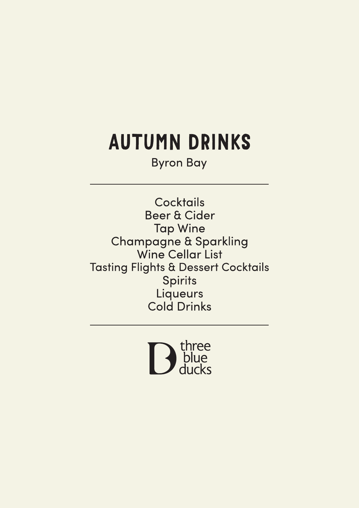# **AUTUMN DRINKS**

**Byron Bay** 

Cocktails **Beer & Cider Tap Wine Champagne & Sparkling** Wine Cellar List **Tasting Flights & Dessert Cocktails Spirits** Liqueurs Cold Drinks

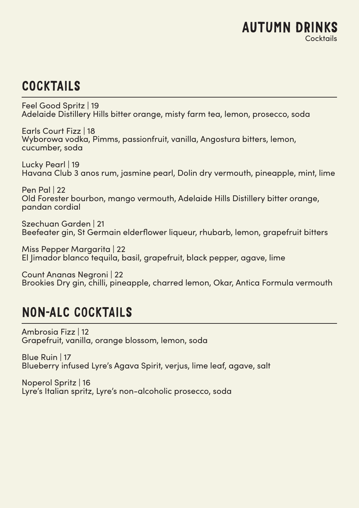### **COCKTAILS**

Feel Good Spritz | 19 Adelaide Distillery Hills bitter orange, misty farm tea, lemon, prosecco, soda

Earls Court Fizz | 18 Wyborowa vodka, Pimms, passionfruit, vanilla, Angostura bitters, lemon, cucumber, soda

Lucky Pearl | 19 Havana Club 3 anos rum, jasmine pearl, Dolin dry vermouth, pineapple, mint, lime

Pen Pal  $|22$ Old Forester bourbon, mango vermouth, Adelaide Hills Distillery bitter orange, pandan cordial

Szechuan Garden | 21 Beefeater gin, St Germain elderflower liqueur, rhubarb, lemon, grapefruit bitters

Miss Pepper Margarita | 22 El Jimador blanco tequila, basil, grapefruit, black pepper, agave, lime

Count Ananas Negroni | 22 Brookies Dry gin, chilli, pineapple, charred lemon, Okar, Antica Formula vermouth

### NON-ALC COCKTAILS

Ambrosia Fizz | 12 Grapefruit, vanilla, orange blossom, lemon, soda

Blue Ruin | 17 Blueberry infused Lyre's Agava Spirit, verjus, lime leaf, agave, salt

Noperol Spritz | 16 Lyre's Italian spritz, Lyre's non-alcoholic prosecco, soda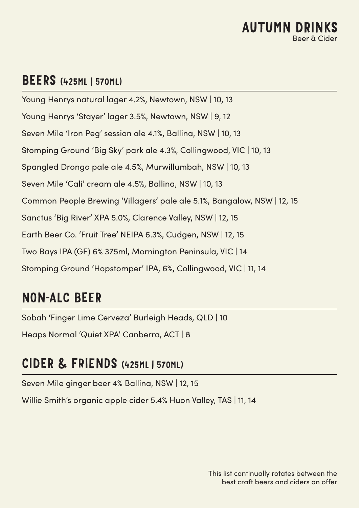#### BEERS (425ML | 570ML)

Young Henrys natural lager 4.2%, Newtown, NSW | 10, 13 Young Henrys 'Stayer' lager 3.5%, Newtown, NSW | 9, 12 Seven Mile 'Iron Peg' session ale 4.1%, Ballina, NSW | 10, 13 Stomping Ground 'Big Sky' park ale 4.3%, Collingwood, VIC | 10, 13 Spangled Drongo pale ale 4.5%, Murwillumbah, NSW | 10, 13 Seven Mile 'Cali' cream ale 4.5%, Ballina, NSW | 10, 13 Common People Brewing 'Villagers' pale ale 5.1%, Bangalow, NSW | 12, 15 Sanctus 'Big River' XPA 5.0%, Clarence Valley, NSW | 12, 15 Earth Beer Co. 'Fruit Tree' NEIPA 6.3%, Cudgen, NSW | 12, 15 Two Bays IPA (GF) 6% 375ml, Mornington Peninsula, VIC | 14 Stomping Ground 'Hopstomper' IPA, 6%, Collingwood, VIC | 11, 14

### NON-ALC BEER

Sobah 'Finger Lime Cerveza' Burleigh Heads, QLD | 10 Heaps Normal 'Quiet XPA' Canberra, ACT | 8

#### CIDER & FRIENDS (425ML | 570ML)

Seven Mile ginger beer 4% Ballina, NSW | 12, 15

Willie Smith's organic apple cider 5.4% Huon Valley, TAS | 11, 14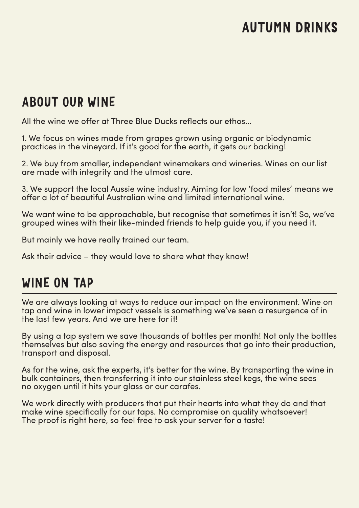### **AUTUMN DRINKS**

### ABOUT OUR WINE

All the wine we offer at Three Blue Ducks reflects our ethos...

1. We focus on wines made from grapes grown using organic or biodynamic practices in the vineyard. If it's good for the earth, it gets our backing!

2. We buy from smaller, independent winemakers and wineries. Wines on our list are made with integrity and the utmost care.

3. We support the local Aussie wine industry. Aiming for low 'food miles' means we offer a lot of beautiful Australian wine and limited international wine.

We want wine to be approachable, but recognise that sometimes it isn't! So, we've grouped wines with their like-minded friends to help guide you, if you need it.

But mainly we have really trained our team.

Ask their advice – they would love to share what they know!

### WINE ON TAP

We are always looking at ways to reduce our impact on the environment. Wine on tap and wine in lower impact vessels is something we've seen a resurgence of in the last few years. And we are here for it!

By using a tap system we save thousands of bottles per month! Not only the bottles themselves but also saving the energy and resources that go into their production, transport and disposal.

As for the wine, ask the experts, it's better for the wine. By transporting the wine in bulk containers, then transferring it into our stainless steel kegs, the wine sees no oxygen until it hits your glass or our carafes.

We work directly with producers that put their hearts into what they do and that make wine specifically for our taps. No compromise on quality whatsoever! The proof is right here, so feel free to ask your server for a taste!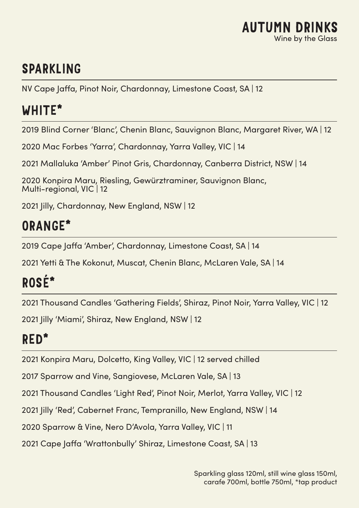### SPARKLING

NV Cape Jaffa, Pinot Noir, Chardonnay, Limestone Coast, SA | 12

### WHITE\*

2019 Blind Corner 'Blanc', Chenin Blanc, Sauvignon Blanc, Margaret River, WA | 12

2020 Mac Forbes 'Yarra', Chardonnay, Yarra Valley, VIC | 14

2021 Mallaluka 'Amber' Pinot Gris, Chardonnay, Canberra District, NSW | 14

2020 Konpira Maru, Riesling, Gewürztraminer, Sauvignon Blanc, Multi-regional, VIC | 12

2021 Jilly, Chardonnay, New England, NSW | 12

### ORANGE\*

2019 Cape Jaffa 'Amber', Chardonnay, Limestone Coast, SA | 14

2021 Yetti & The Kokonut, Muscat, Chenin Blanc, McLaren Vale, SA | 14

# ROSÉ\*

2021 Thousand Candles 'Gathering Fields', Shiraz, Pinot Noir, Yarra Valley, VIC | 12

2021 Jilly 'Miami', Shiraz, New England, NSW | 12

# RED\*

2021 Konpira Maru, Dolcetto, King Valley, VIC | 12 served chilled

2017 Sparrow and Vine, Sangiovese, McLaren Vale, SA | 13

2021 Thousand Candles 'Light Red', Pinot Noir, Merlot, Yarra Valley, VIC | 12

2021 Jilly 'Red', Cabernet Franc, Tempranillo, New England, NSW | 14

2020 Sparrow & Vine, Nero D'Avola, Yarra Valley, VIC | 11

2021 Cape Jaffa 'Wrattonbully' Shiraz, Limestone Coast, SA | 13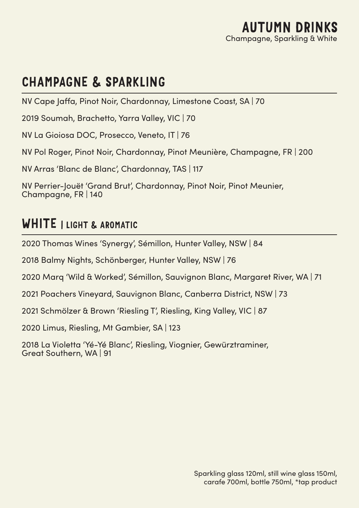### CHAMPAGNE & SPARKLING

NV Cape Jaffa, Pinot Noir, Chardonnay, Limestone Coast, SA | 70

2019 Soumah, Brachetto, Yarra Valley, VIC | 70

NV La Gioiosa DOC, Prosecco, Veneto, IT | 76

NV Pol Roger, Pinot Noir, Chardonnay, Pinot Meunière, Champagne, FR | 200

NV Arras 'Blanc de Blanc', Chardonnay, TAS | 117

NV Perrier-Jouët 'Grand Brut', Chardonnay, Pinot Noir, Pinot Meunier, Champagne, FR | 140

#### WHITE I LIGHT & AROMATIC

2020 Thomas Wines 'Synergy', Sémillon, Hunter Valley, NSW | 84

2018 Balmy Nights, Schönberger, Hunter Valley, NSW | 76

2020 Marq 'Wild & Worked', Sémillon, Sauvignon Blanc, Margaret River, WA | 71

2021 Poachers Vineyard, Sauvignon Blanc, Canberra District, NSW | 73

2021 Schmölzer & Brown 'Riesling T', Riesling, King Valley, VIC | 87

2020 Limus, Riesling, Mt Gambier, SA | 123

2018 La Violetta 'Yé-Yé Blanc', Riesling, Viognier, Gewürztraminer, Great Southern, WA | 91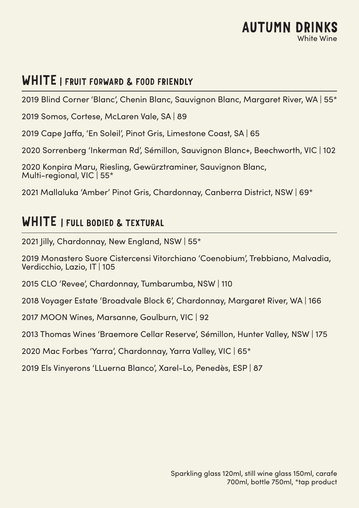#### **AUTUMN DRINKS** White Wine

#### WHITE I FRUIT FORWARD & FOOD FRIENDLY

2019 Blind Corner 'Blanc', Chenin Blanc, Sauvignon Blanc, Margaret River, WA | 55\*

2019 Somos, Cortese, McLaren Vale, SA | 89

2019 Cape Jaffa, 'En Soleil', Pinot Gris, Limestone Coast, SA | 65

2020 Sorrenberg 'Inkerman Rd', Sémillon, Sauvignon Blanc+, Beechworth, VIC | 102

2020 Konpira Maru, Riesling, Gewürztraminer, Sauvignon Blanc, Multi-regional, VIC | 55\*

2021 Mallaluka 'Amber' Pinot Gris, Chardonnay, Canberra District, NSW | 69\*

#### WHITE I FULL BODIED & TEXTURAL

2021 Jilly, Chardonnay, New England, NSW | 55\*

2019 Monastero Suore Cistercensi Vitorchiano 'Coenobium', Trebbiano, Malvadia, Verdicchio, Lazio, IT | 105

2015 CLO 'Revee', Chardonnay, Tumbarumba, NSW | 110

2018 Voyager Estate 'Broadvale Block 6', Chardonnay, Margaret River, WA | 166

2017 MOON Wines, Marsanne, Goulburn, VIC | 92

2013 Thomas Wines 'Braemore Cellar Reserve', Sémillon, Hunter Valley, NSW | 175

2020 Mac Forbes 'Yarra', Chardonnay, Yarra Valley, VIC | 65\*

2019 Els Vinyerons 'LLuerna Blanco', Xarel-Lo, Penedès, ESP | 87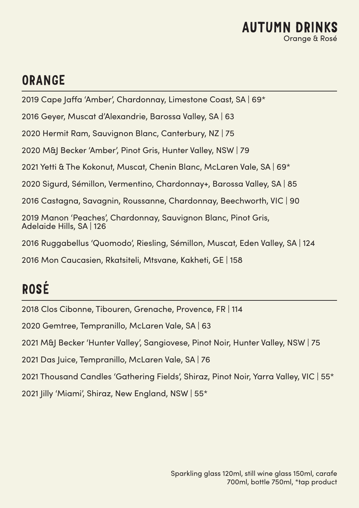

#### ORANGE

2019 Cape Jaffa 'Amber', Chardonnay, Limestone Coast, SA | 69\*

2016 Geyer, Muscat d'Alexandrie, Barossa Valley, SA | 63

2020 Hermit Ram, Sauvignon Blanc, Canterbury, NZ | 75

2020 M&J Becker 'Amber', Pinot Gris, Hunter Valley, NSW | 79

2021 Yetti & The Kokonut, Muscat, Chenin Blanc, McLaren Vale, SA | 69\*

2020 Sigurd, Sémillon, Vermentino, Chardonnay+, Barossa Valley, SA | 85

2016 Castagna, Savagnin, Roussanne, Chardonnay, Beechworth, VIC | 90

2019 Manon 'Peaches', Chardonnay, Sauvignon Blanc, Pinot Gris, Adelaide Hills, SA | 126

2016 Ruggabellus 'Quomodo', Riesling, Sémillon, Muscat, Eden Valley, SA | 124

2016 Mon Caucasien, Rkatsiteli, Mtsvane, Kakheti, GE | 158

# ROSÉ

2018 Clos Cibonne, Tibouren, Grenache, Provence, FR | 114

2020 Gemtree, Tempranillo, McLaren Vale, SA | 63

2021 M&J Becker 'Hunter Valley', Sangiovese, Pinot Noir, Hunter Valley, NSW | 75

2021 Das Juice, Tempranillo, McLaren Vale, SA | 76

2021 Thousand Candles 'Gathering Fields', Shiraz, Pinot Noir, Yarra Valley, VIC | 55\*

2021 Jilly 'Miami', Shiraz, New England, NSW | 55\*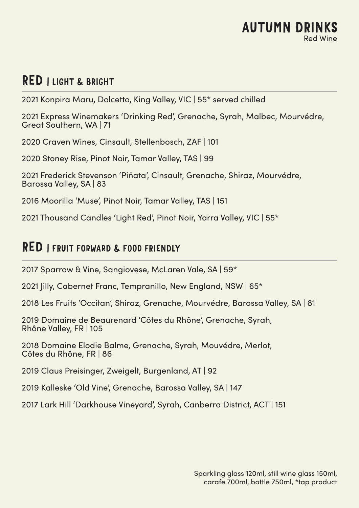#### RED | LIGHT & BRIGHT

2021 Konpira Maru, Dolcetto, King Valley, VIC | 55\* served chilled

2021 Express Winemakers 'Drinking Red', Grenache, Syrah, Malbec, Mourvédre, Great Southern, WA | 71

2020 Craven Wines, Cinsault, Stellenbosch, ZAF | 101

2020 Stoney Rise, Pinot Noir, Tamar Valley, TAS | 99

2021 Frederick Stevenson 'Piñata', Cinsault, Grenache, Shiraz, Mourvédre, Barossa Valley, SA | 83

2016 Moorilla 'Muse', Pinot Noir, Tamar Valley, TAS | 151

2021 Thousand Candles 'Light Red', Pinot Noir, Yarra Valley, VIC | 55\*

#### RED | FRUIT FORWARD & FOOD FRIENDLY

2017 Sparrow & Vine, Sangiovese, McLaren Vale, SA | 59\*

2021 Jilly, Cabernet Franc, Tempranillo, New England, NSW | 65\*

2018 Les Fruits 'Occitan', Shiraz, Grenache, Mourvédre, Barossa Valley, SA | 81

2019 Domaine de Beaurenard 'Côtes du Rhône', Grenache, Syrah, Rhône Valley, FR | 105

2018 Domaine Elodie Balme, Grenache, Syrah, Mouvédre, Merlot, Côtes du Rhône, FR | 86

2019 Claus Preisinger, Zweigelt, Burgenland, AT | 92

2019 Kalleske 'Old Vine', Grenache, Barossa Valley, SA | 147

2017 Lark Hill 'Darkhouse Vineyard', Syrah, Canberra District, ACT | 151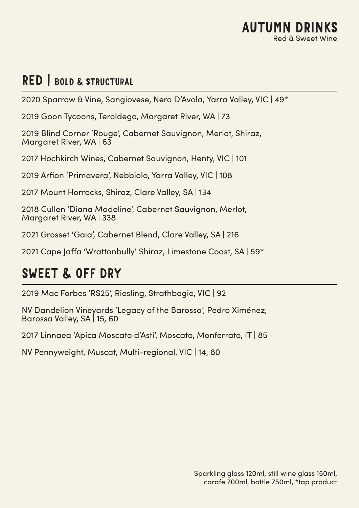### RED BOLD & STRUCTURAL

2020 Sparrow & Vine, Sangiovese, Nero D'Avola, Yarra Valley, VIC | 49\*

2019 Goon Tycoons, Teroldego, Margaret River, WA | 73

2019 Blind Corner 'Rouge', Cabernet Sauvignon, Merlot, Shiraz, Margaret River, WA | 63

2017 Hochkirch Wines, Cabernet Sauvignon, Henty, VIC | 101

2019 Arfion 'Primavera', Nebbiolo, Yarra Valley, VIC | 108

2017 Mount Horrocks, Shiraz, Clare Valley, SA | 134

2018 Cullen 'Diana Madeline', Cabernet Sauvignon, Merlot, Margaret River, WA | 338

2021 Grosset 'Gaia', Cabernet Blend, Clare Valley, SA | 216

2021 Cape Jaffa 'Wrattonbully' Shiraz, Limestone Coast, SA | 59\*

### SWEET & OFF DRY

2019 Mac Forbes 'RS25', Riesling, Strathbogie, VIC | 92

NV Dandelion Vineyards 'Legacy of the Barossa', Pedro Ximénez, Barossa Valley, SA | 15, 60

2017 Linnaea 'Apica Moscato d'Asti', Moscato, Monferrato, IT | 85

NV Pennyweight, Muscat, Multi-regional, VIC | 14, 80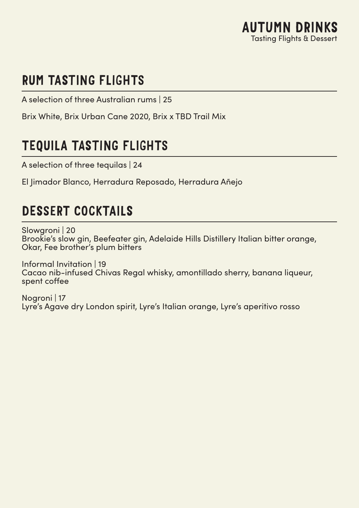### RUM TASTING FLIGHTS

A selection of three Australian rums | 25

Brix White, Brix Urban Cane 2020, Brix x TBD Trail Mix

### TEQUILA TASTING FLIGHTS

A selection of three tequilas | 24

El Jimador Blanco, Herradura Reposado, Herradura Añejo

### DESSERT COCKTAILS

Slowgroni | 20 Brookie's slow gin, Beefeater gin, Adelaide Hills Distillery Italian bitter orange, Okar, Fee brother's plum bitters

Informal Invitation | 19 Cacao nib-infused Chivas Regal whisky, amontillado sherry, banana liqueur, spent coffee

Nogroni | 17 Lyre's Agave dry London spirit, Lyre's Italian orange, Lyre's aperitivo rosso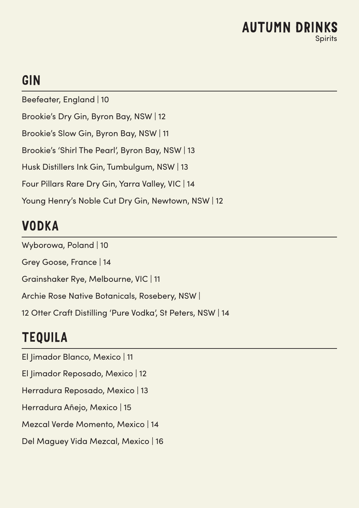### GIN

Beefeater, England | 10 Brookie's Dry Gin, Byron Bay, NSW | 12 Brookie's Slow Gin, Byron Bay, NSW | 11 Brookie's 'Shirl The Pearl', Byron Bay, NSW | 13 Husk Distillers Ink Gin, Tumbulgum, NSW | 13 Four Pillars Rare Dry Gin, Yarra Valley, VIC | 14 Young Henry's Noble Cut Dry Gin, Newtown, NSW | 12

### VODKA

Wyborowa, Poland | 10 Grey Goose, France | 14 Grainshaker Rye, Melbourne, VIC | 11 Archie Rose Native Botanicals, Rosebery, NSW | 12 Otter Craft Distilling 'Pure Vodka', St Peters, NSW | 14

### TEQUILA

El Jimador Blanco, Mexico | 11 El Jimador Reposado, Mexico | 12 Herradura Reposado, Mexico | 13 Herradura Añejo, Mexico | 15 Mezcal Verde Momento, Mexico | 14 Del Maguey Vida Mezcal, Mexico | 16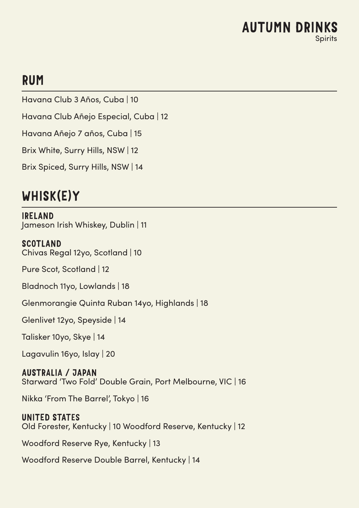### RUM

Havana Club 3 Años, Cuba | 10

Havana Club Añejo Especial, Cuba | 12

Havana Añejo 7 años, Cuba | 15

Brix White, Surry Hills, NSW | 12

Brix Spiced, Surry Hills, NSW | 14

### WHISK(E)Y

IRELAND Jameson Irish Whiskey, Dublin | 11

SCOTLAND Chivas Regal 12yo, Scotland | 10

Pure Scot, Scotland | 12

Bladnoch 11yo, Lowlands | 18

Glenmorangie Quinta Ruban 14yo, Highlands | 18

Glenlivet 12yo, Speyside | 14

Talisker 10yo, Skye | 14

Lagavulin 16yo, Islay | 20

AUSTRALIA / JAPAN Starward 'Two Fold' Double Grain, Port Melbourne, VIC | 16

Nikka 'From The Barrel', Tokyo | 16

UNITED STATES Old Forester, Kentucky | 10 Woodford Reserve, Kentucky | 12

Woodford Reserve Rye, Kentucky | 13

Woodford Reserve Double Barrel, Kentucky | 14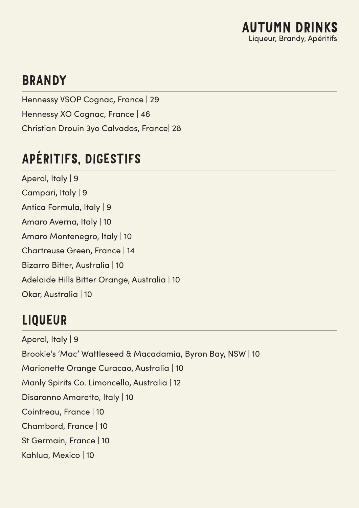### BRANDY

Hennessy VSOP Cognac, France | 29 Hennessy XO Cognac, France | 46 Christian Drouin 3yo Calvados, France| 28

## APÉRITIFS, DIGESTIFS

Aperol, Italy | 9 Campari, Italy | 9 Antica Formula, Italy | 9 Amaro Averna, Italy | 10 Amaro Montenegro, Italy | 10 Chartreuse Green, France | 14 Bizarro Bitter, Australia | 10 Adelaide Hills Bitter Orange, Australia | 10 Okar, Australia | 10

### LIQUEUR

Aperol, Italy | 9 Brookie's 'Mac' Wattleseed & Macadamia, Byron Bay, NSW | 10 Marionette Orange Curacao, Australia | 10 Manly Spirits Co. Limoncello, Australia | 12 Disaronno Amaretto, Italy | 10 Cointreau, France | 10 Chambord, France | 10 St Germain, France | 10 Kahlua, Mexico | 10